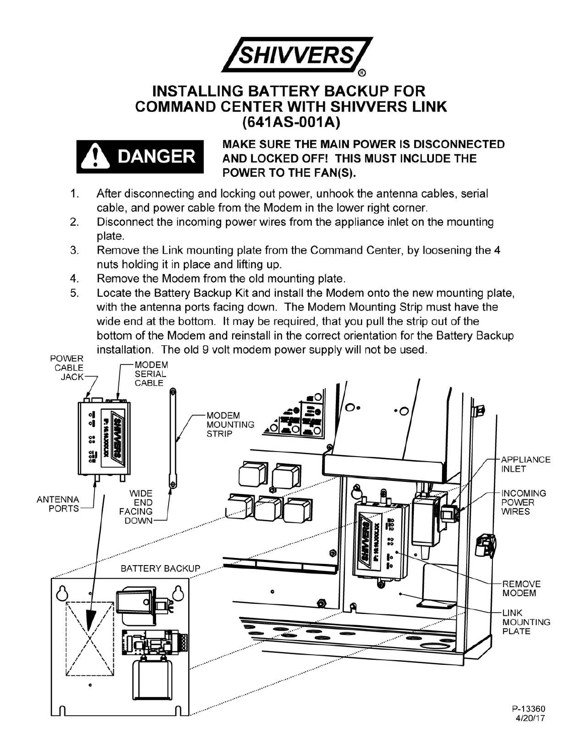

## **INSTALLING BATTERY BACKUP FOR COMMAND CENTER WITH SHIVVERS LINK (641AS-001A)**



**MAKE SURE THE MAIN POWER IS DISCONNECTED AND LOCKED OFF! THIS MUST INCLUDE THE POWER TO THE FAN(\$).** 

- After disconnecting and locking out power, unhook the antenna cables, serial cable, and power cable from the Modem in the lower right corner. 1.
- Disconnect the incoming power wires from the appliance inlet on the mounting plate. 2.
- Remove the Link mounting plate from the Command Center, by loosening the 4 nuts holding it in place and lifting up. 3.
- Remove the Modem from the old mounting plate. 4.
- 5. Locate the Battery Backup Kit and install the Modem onto the new mounting plate, with the antenna ports facing down. The Modem Mounting Strip must have the wide end at the bottom. It may be required, that you pull the strip out of the bottom of the Modem and reinstall in the correct orientation for the Battery Backup installation. The old 9 volt modem power supply will not be used.

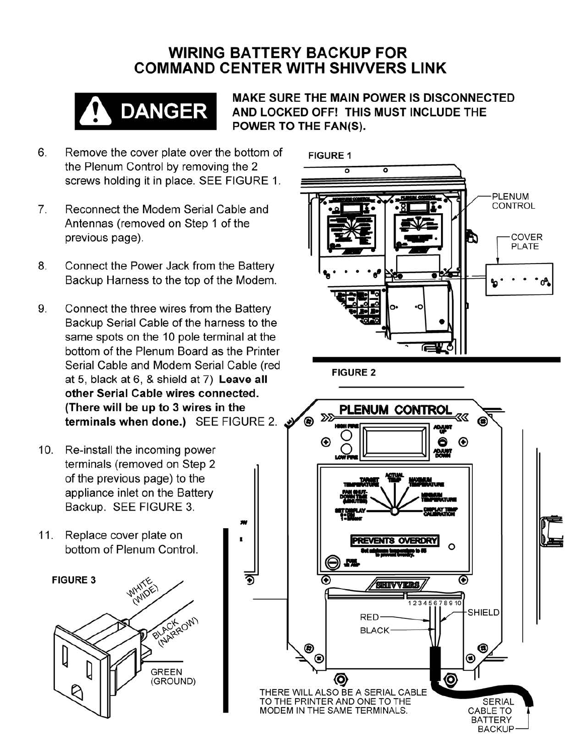## **WIRING BATTERY BACKUP FOR COMMAND CENTER WITH SHIVVERS LINK**



**MAKE SURE THE MAIN POWER IS DISCONNECTED AND LOCKED OFF! THIS MUST INCLUDE THE POWER TO THE FAN(\$).** 

- 6. Remove the cover plate over the bottom of the Plenum Control by removing the 2 screws holding it in place. SEE FIGURE 1.
- 7. Reconnect the Modem Serial Cable and Antennas (removed on Step 1 of the previous page).
- 8. Connect the Power Jack from the Battery Backup Harness to the top of the Modem.
- 9. Connect the three wires from the Battery Backup Serial Cable of the harness to the same spots on the 10 pole terminal at the bottom of the Plenum Board as the Printer Serial Cable and Modem Serial Cable (red at 5, black at 6, & shield at 7) **Leave all other Serial Cable wires connected. (There will be up to 3 wires in the terminals when done.)** SEE FIGURE 2. <sup>~</sup>
- 10. Re-install the incoming power terminals (removed on Step 2 of the previous page) to the appliance inlet on the Battery Backup. SEE FIGURE 3.
- 11. Replace cover plate on bottom of Plenum Control.





**FIGURE 2**